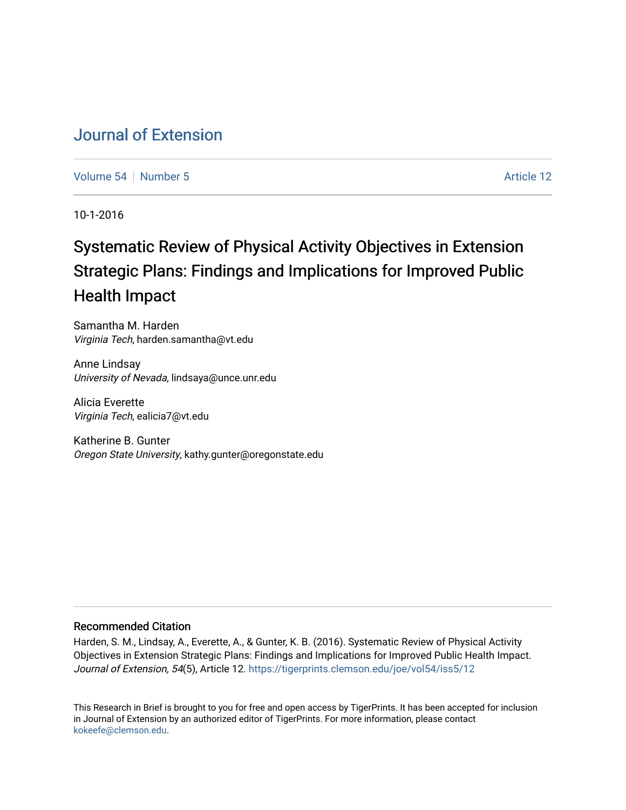# [Journal of Extension](https://tigerprints.clemson.edu/joe)

[Volume 54](https://tigerprints.clemson.edu/joe/vol54) [Number 5](https://tigerprints.clemson.edu/joe/vol54/iss5) Article 12

10-1-2016

# Systematic Review of Physical Activity Objectives in Extension Strategic Plans: Findings and Implications for Improved Public Health Impact

Samantha M. Harden Virginia Tech, harden.samantha@vt.edu

Anne Lindsay University of Nevada, lindsaya@unce.unr.edu

Alicia Everette Virginia Tech, ealicia7@vt.edu

Katherine B. Gunter Oregon State University, kathy.gunter@oregonstate.edu

### Recommended Citation

Harden, S. M., Lindsay, A., Everette, A., & Gunter, K. B. (2016). Systematic Review of Physical Activity Objectives in Extension Strategic Plans: Findings and Implications for Improved Public Health Impact. Journal of Extension, 54(5), Article 12. https://tigerprints.clemson.edu/joe/vol54/iss5/12

This Research in Brief is brought to you for free and open access by TigerPrints. It has been accepted for inclusion in Journal of Extension by an authorized editor of TigerPrints. For more information, please contact [kokeefe@clemson.edu](mailto:kokeefe@clemson.edu).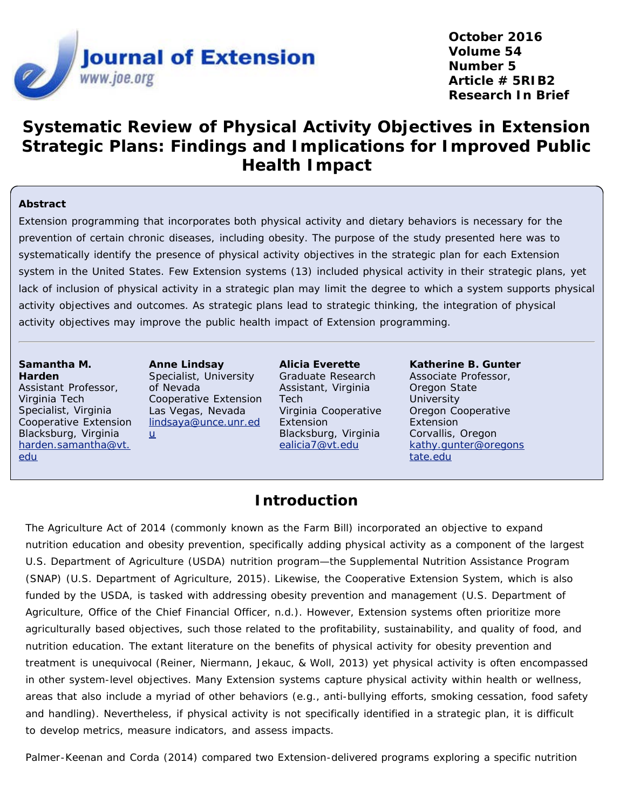

**October 2016 Volume 54 Number 5 Article # 5RIB2 Research In Brief**

# **Systematic Review of Physical Activity Objectives in Extension Strategic Plans: Findings and Implications for Improved Public Health Impact**

### **Abstract**

Extension programming that incorporates both physical activity and dietary behaviors is necessary for the prevention of certain chronic diseases, including obesity. The purpose of the study presented here was to systematically identify the presence of physical activity objectives in the strategic plan for each Extension system in the United States. Few Extension systems (13) included physical activity in their strategic plans, yet lack of inclusion of physical activity in a strategic plan may limit the degree to which a system supports physical activity objectives and outcomes. As strategic plans lead to strategic thinking, the integration of physical activity objectives may improve the public health impact of Extension programming.

#### **Samantha M. Harden** Assistant Professor, Virginia Tech Specialist, Virginia Cooperative Extension Blacksburg, Virginia

[harden.samantha@vt.](mailto:harden.samantha@vt.edu)

[edu](mailto:harden.samantha@vt.edu)

**Anne Lindsay** Specialist, University of Nevada Cooperative Extension Las Vegas, Nevada [lindsaya@unce.unr.ed](mailto:lindsaya@unce.unr.edu)  $\underline{u}$  $\underline{u}$  $\underline{u}$ 

**Alicia Everette** Graduate Research Assistant, Virginia Tech Virginia Cooperative Extension Blacksburg, Virginia [ealicia7@vt.edu](mailto:ealicia7@vt.edu)

**Katherine B. Gunter** Associate Professor, Oregon State **University** Oregon Cooperative Extension Corvallis, Oregon [kathy.gunter@oregons](mailto:kathy.gunter@oregonstate.edu) [tate.edu](mailto:kathy.gunter@oregonstate.edu)

### **Introduction**

The Agriculture Act of 2014 (commonly known as the Farm Bill) incorporated an objective to expand nutrition education and obesity prevention, specifically adding physical activity as a component of the largest U.S. Department of Agriculture (USDA) nutrition program—the Supplemental Nutrition Assistance Program (SNAP) (U.S. Department of Agriculture, 2015). Likewise, the Cooperative Extension System, which is also funded by the USDA, is tasked with addressing obesity prevention and management (U.S. Department of Agriculture, Office of the Chief Financial Officer, n.d.). However, Extension systems often prioritize more agriculturally based objectives, such those related to the profitability, sustainability, and quality of food, and nutrition education. The extant literature on the benefits of physical activity for obesity prevention and treatment is unequivocal (Reiner, Niermann, Jekauc, & Woll, 2013) yet physical activity is often encompassed in other system-level objectives. Many Extension systems capture physical activity within health or wellness, areas that also include a myriad of other behaviors (e.g., anti-bullying efforts, smoking cessation, food safety and handling). Nevertheless, if physical activity is not specifically identified in a strategic plan, it is difficult to develop metrics, measure indicators, and assess impacts.

Palmer-Keenan and Corda (2014) compared two Extension-delivered programs exploring a specific nutrition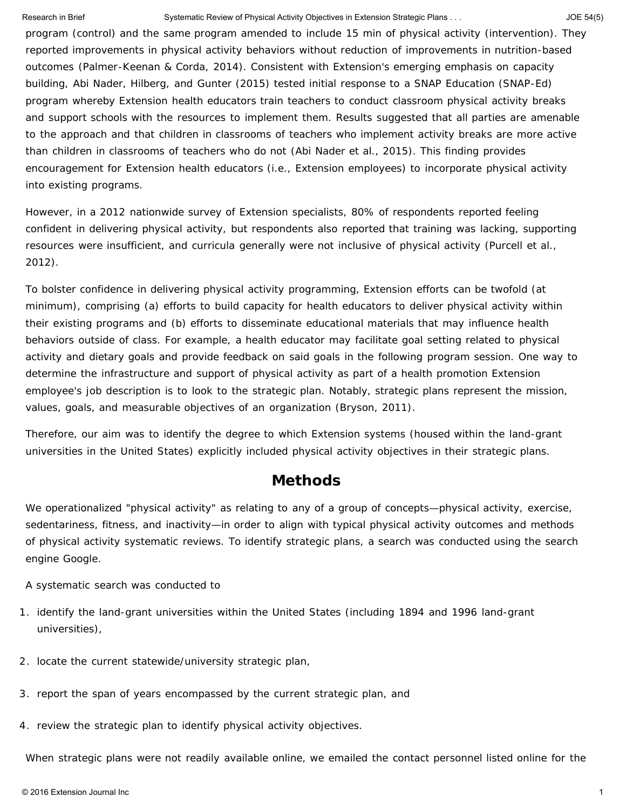#### Research in Brief Systematic Review of Physical Activity Objectives in Extension Strategic Plans . . . 46 JOE 54(5)

program (control) and the same program amended to include 15 min of physical activity (intervention). They reported improvements in physical activity behaviors without reduction of improvements in nutrition-based outcomes (Palmer-Keenan & Corda, 2014). Consistent with Extension's emerging emphasis on capacity building, Abi Nader, Hilberg, and Gunter (2015) tested initial response to a SNAP Education (SNAP-Ed) program whereby Extension health educators train teachers to conduct classroom physical activity breaks and support schools with the resources to implement them. Results suggested that all parties are amenable to the approach and that children in classrooms of teachers who implement activity breaks are more active than children in classrooms of teachers who do not (Abi Nader et al., 2015). This finding provides encouragement for Extension health educators (i.e., Extension employees) to incorporate physical activity into existing programs.

However, in a 2012 nationwide survey of Extension specialists, 80% of respondents reported feeling confident in delivering physical activity, but respondents also reported that training was lacking, supporting resources were insufficient, and curricula generally were not inclusive of physical activity (Purcell et al., 2012).

To bolster confidence in delivering physical activity programming, Extension efforts can be twofold (at minimum), comprising (a) efforts to build capacity for health educators to deliver physical activity within their existing programs and (b) efforts to disseminate educational materials that may influence health behaviors outside of class. For example, a health educator may facilitate goal setting related to physical activity and dietary goals and provide feedback on said goals in the following program session. One way to determine the infrastructure and support of physical activity as part of a health promotion Extension employee's job description is to look to the strategic plan. Notably, strategic plans represent the mission, values, goals, and measurable objectives of an organization (Bryson, 2011).

Therefore, our aim was to identify the degree to which Extension systems (housed within the land-grant universities in the United States) explicitly included physical activity objectives in their strategic plans.

### **Methods**

We operationalized "physical activity" as relating to any of a group of concepts—physical activity, exercise, sedentariness, fitness, and inactivity—in order to align with typical physical activity outcomes and methods of physical activity systematic reviews. To identify strategic plans, a search was conducted using the search engine Google.

A systematic search was conducted to

- 1. identify the land-grant universities within the United States (including 1894 and 1996 land-grant universities),
- 2. locate the current statewide/university strategic plan,
- 3. report the span of years encompassed by the current strategic plan, and
- 4. review the strategic plan to identify physical activity objectives.

When strategic plans were not readily available online, we emailed the contact personnel listed online for the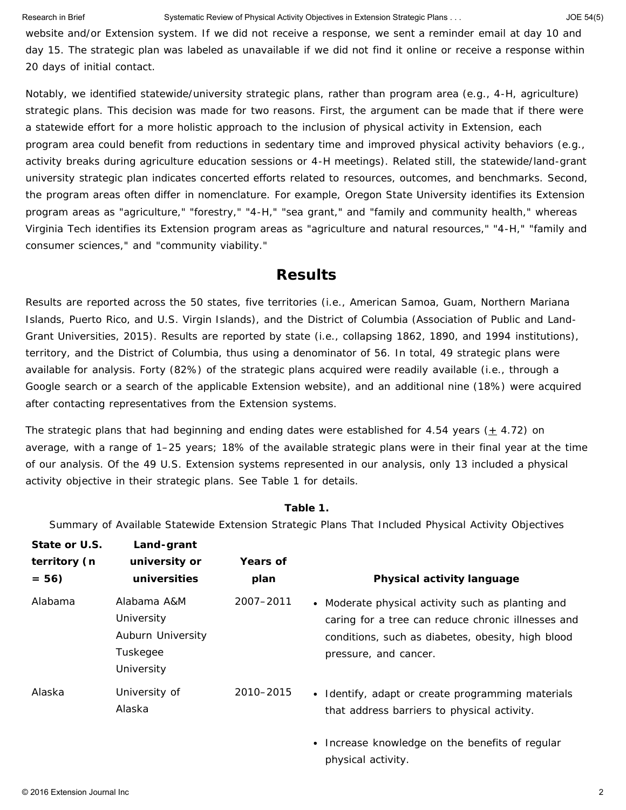website and/or Extension system. If we did not receive a response, we sent a reminder email at day 10 and day 15. The strategic plan was labeled as unavailable if we did not find it online or receive a response within 20 days of initial contact.

Notably, we identified statewide/university strategic plans, rather than program area (e.g., 4-H, agriculture) strategic plans. This decision was made for two reasons. First, the argument can be made that if there were a statewide effort for a more holistic approach to the inclusion of physical activity in Extension, each program area could benefit from reductions in sedentary time and improved physical activity behaviors (e.g., activity breaks during agriculture education sessions or 4-H meetings). Related still, the statewide/land-grant university strategic plan indicates concerted efforts related to resources, outcomes, and benchmarks. Second, the program areas often differ in nomenclature. For example, Oregon State University identifies its Extension program areas as "agriculture," "forestry," "4-H," "sea grant," and "family and community health," whereas Virginia Tech identifies its Extension program areas as "agriculture and natural resources," "4-H," "family and consumer sciences," and "community viability."

### **Results**

Results are reported across the 50 states, five territories (i.e., American Samoa, Guam, Northern Mariana Islands, Puerto Rico, and U.S. Virgin Islands), and the District of Columbia (Association of Public and Land-Grant Universities, 2015). Results are reported by state (i.e., collapsing 1862, 1890, and 1994 institutions), territory, and the District of Columbia, thus using a denominator of 56. In total, 49 strategic plans were available for analysis. Forty (82%) of the strategic plans acquired were readily available (i.e., through a Google search or a search of the applicable Extension website), and an additional nine (18%) were acquired after contacting representatives from the Extension systems.

The strategic plans that had beginning and ending dates were established for 4.54 years ( $\pm$  4.72) on average, with a range of 1–25 years; 18% of the available strategic plans were in their final year at the time of our analysis. Of the 49 U.S. Extension systems represented in our analysis, only 13 included a physical activity objective in their strategic plans. See Table 1 for details.

#### **Table 1.**

Summary of Available Statewide Extension Strategic Plans That Included Physical Activity Objectives

| State or U.S.<br>territory (n<br>$= 56$ | Land-grant<br>university or<br>universities                              | Years of<br>plan | Physical activity language                                                                                                                                                            |
|-----------------------------------------|--------------------------------------------------------------------------|------------------|---------------------------------------------------------------------------------------------------------------------------------------------------------------------------------------|
| Alabama                                 | Alabama A&M<br>University<br>Auburn University<br>Tuskegee<br>University | 2007-2011        | • Moderate physical activity such as planting and<br>caring for a tree can reduce chronic illnesses and<br>conditions, such as diabetes, obesity, high blood<br>pressure, and cancer. |
| Alaska                                  | University of<br>Alaska                                                  | 2010-2015        | • Identify, adapt or create programming materials<br>that address barriers to physical activity.                                                                                      |
|                                         |                                                                          |                  | • Increase knowledge on the benefits of regular                                                                                                                                       |

physical activity.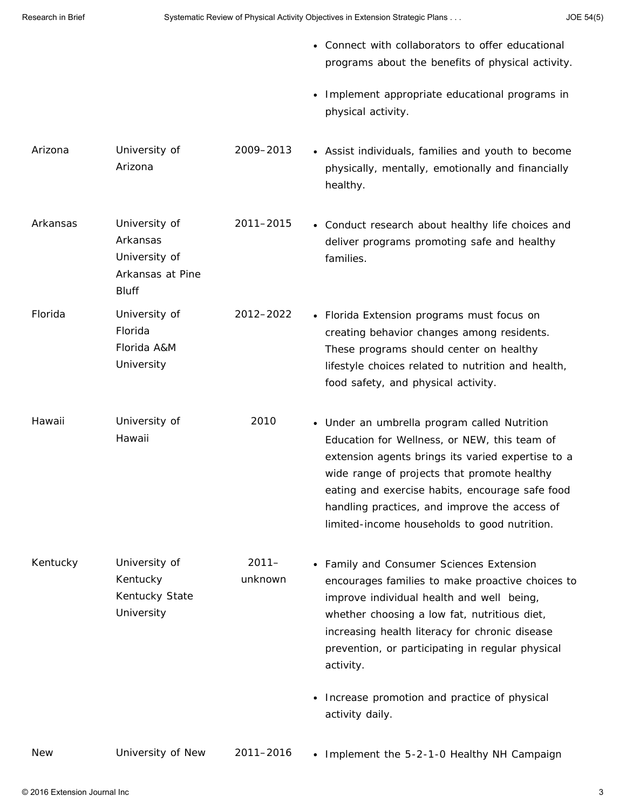- Connect with collaborators to offer educational programs about the benefits of physical activity.
- Implement appropriate educational programs in physical activity.

lifestyle choices related to nutrition and health,

handling practices, and improve the access of limited-income households to good nutrition.

food safety, and physical activity.

- Arizona University of Arizona 2009–2013 Assist individuals, families and youth to become physically, mentally, emotionally and financially healthy.
- Arkansas University of Arkansas University of Arkansas at Pine Bluff 2011–2015 Conduct research about healthy life choices and deliver programs promoting safe and healthy families. Florida University of Florida Florida A&M 2012–2022 Florida Extension programs must focus on creating behavior changes among residents. These programs should center on healthy
- Hawaii University of Hawaii 2010 Under an umbrella program called Nutrition Education for Wellness, or NEW, this team of extension agents brings its varied expertise to a wide range of projects that promote healthy eating and exercise habits, encourage safe food
- Kentucky University of Kentucky Kentucky State University 2011– unknown Family and Consumer Sciences Extension encourages families to make proactive choices to improve individual health and well being, whether choosing a low fat, nutritious diet, increasing health literacy for chronic disease prevention, or participating in regular physical activity.
	- Increase promotion and practice of physical activity daily.

University

New University of New 2011–2016 • Implement the 5-2-1-0 Healthy NH Campaign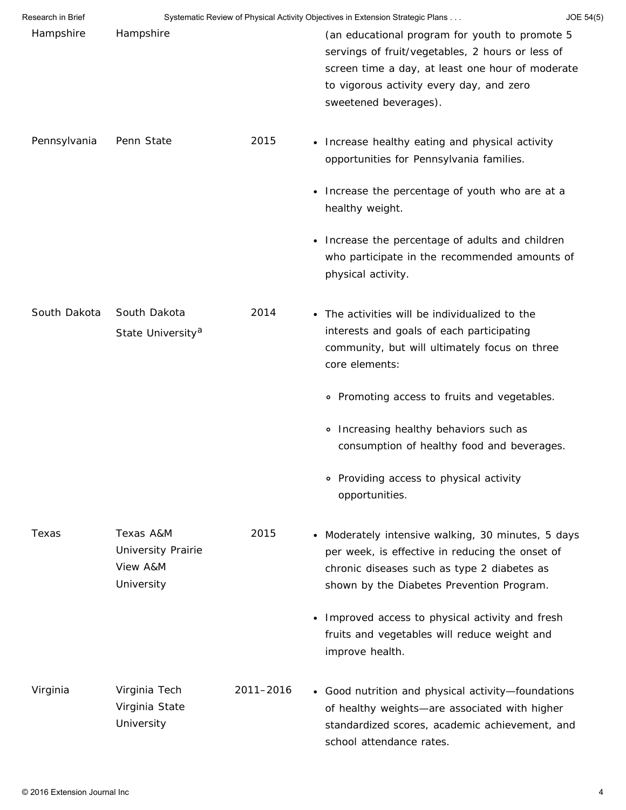| Research in Brief | Systematic Review of Physical Activity Objectives in Extension Strategic Plans<br>JOE 54(5) |           |                                                                                                                                                                                                                             |  |  |
|-------------------|---------------------------------------------------------------------------------------------|-----------|-----------------------------------------------------------------------------------------------------------------------------------------------------------------------------------------------------------------------------|--|--|
| Hampshire         | Hampshire                                                                                   |           | (an educational program for youth to promote 5<br>servings of fruit/vegetables, 2 hours or less of<br>screen time a day, at least one hour of moderate<br>to vigorous activity every day, and zero<br>sweetened beverages). |  |  |
| Pennsylvania      | Penn State                                                                                  | 2015      | • Increase healthy eating and physical activity<br>opportunities for Pennsylvania families.                                                                                                                                 |  |  |
|                   |                                                                                             |           | Increase the percentage of youth who are at a<br>٠<br>healthy weight.                                                                                                                                                       |  |  |
|                   |                                                                                             |           | Increase the percentage of adults and children<br>٠<br>who participate in the recommended amounts of<br>physical activity.                                                                                                  |  |  |
| South Dakota      | South Dakota<br>State University <sup>a</sup>                                               | 2014      | • The activities will be individualized to the<br>interests and goals of each participating<br>community, but will ultimately focus on three<br>core elements:                                                              |  |  |
|                   |                                                                                             |           | • Promoting access to fruits and vegetables.                                                                                                                                                                                |  |  |
|                   |                                                                                             |           | • Increasing healthy behaviors such as<br>consumption of healthy food and beverages.                                                                                                                                        |  |  |
|                   |                                                                                             |           | • Providing access to physical activity<br>opportunities.                                                                                                                                                                   |  |  |
| Texas             | Texas A&M<br><b>University Prairie</b><br>View A&M<br>University                            | 2015      | • Moderately intensive walking, 30 minutes, 5 days<br>per week, is effective in reducing the onset of<br>chronic diseases such as type 2 diabetes as<br>shown by the Diabetes Prevention Program.                           |  |  |
|                   |                                                                                             |           | • Improved access to physical activity and fresh<br>fruits and vegetables will reduce weight and<br>improve health.                                                                                                         |  |  |
| Virginia          | Virginia Tech<br>Virginia State<br>University                                               | 2011-2016 | • Good nutrition and physical activity-foundations<br>of healthy weights-are associated with higher<br>standardized scores, academic achievement, and<br>school attendance rates.                                           |  |  |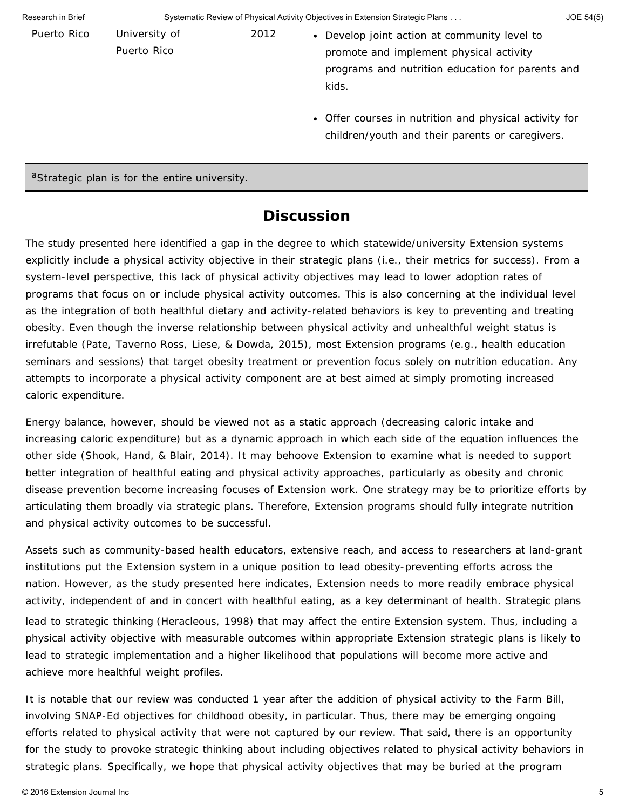| Research in Brief | Systematic Review of Physical Activity Objectives in Extension Strategic Plans |      |                                                                                                                                                                                                                                                                   |  |  |
|-------------------|--------------------------------------------------------------------------------|------|-------------------------------------------------------------------------------------------------------------------------------------------------------------------------------------------------------------------------------------------------------------------|--|--|
| Puerto Rico       | University of<br>Puerto Rico                                                   | 2012 | • Develop joint action at community level to<br>promote and implement physical activity<br>programs and nutrition education for parents and<br>kids.<br>• Offer courses in nutrition and physical activity for<br>children/youth and their parents or caregivers. |  |  |
|                   |                                                                                |      |                                                                                                                                                                                                                                                                   |  |  |

aStrategic plan is for the entire university.

## **Discussion**

The study presented here identified a gap in the degree to which statewide/university Extension systems explicitly include a physical activity objective in their strategic plans (i.e., their metrics for success). From a system-level perspective, this lack of physical activity objectives may lead to lower adoption rates of programs that focus on or include physical activity outcomes. This is also concerning at the individual level as the integration of both healthful dietary and activity-related behaviors is key to preventing and treating obesity. Even though the inverse relationship between physical activity and unhealthful weight status is irrefutable (Pate, Taverno Ross, Liese, & Dowda, 2015), most Extension programs (e.g., health education seminars and sessions) that target obesity treatment or prevention focus solely on nutrition education. Any attempts to incorporate a physical activity component are at best aimed at simply promoting increased caloric expenditure.

Energy balance, however, should be viewed not as a static approach (decreasing caloric intake and increasing caloric expenditure) but as a dynamic approach in which each side of the equation influences the other side (Shook, Hand, & Blair, 2014). It may behoove Extension to examine what is needed to support better integration of healthful eating and physical activity approaches, particularly as obesity and chronic disease prevention become increasing focuses of Extension work. One strategy may be to prioritize efforts by articulating them broadly via strategic plans. Therefore, Extension programs should fully integrate nutrition and physical activity outcomes to be successful.

Assets such as community-based health educators, extensive reach, and access to researchers at land-grant institutions put the Extension system in a unique position to lead obesity-preventing efforts across the nation. However, as the study presented here indicates, Extension needs to more readily embrace physical activity, independent of and in concert with healthful eating, as a key determinant of health. Strategic plans lead to strategic thinking (Heracleous, 1998) that may affect the entire Extension system. Thus, including a physical activity objective with measurable outcomes within appropriate Extension strategic plans is likely to lead to strategic implementation and a higher likelihood that populations will become more active and achieve more healthful weight profiles.

It is notable that our review was conducted 1 year after the addition of physical activity to the Farm Bill, involving SNAP-Ed objectives for childhood obesity, in particular. Thus, there may be emerging ongoing efforts related to physical activity that were not captured by our review. That said, there is an opportunity for the study to provoke strategic thinking about including objectives related to physical activity behaviors in strategic plans. Specifically, we hope that physical activity objectives that may be buried at the program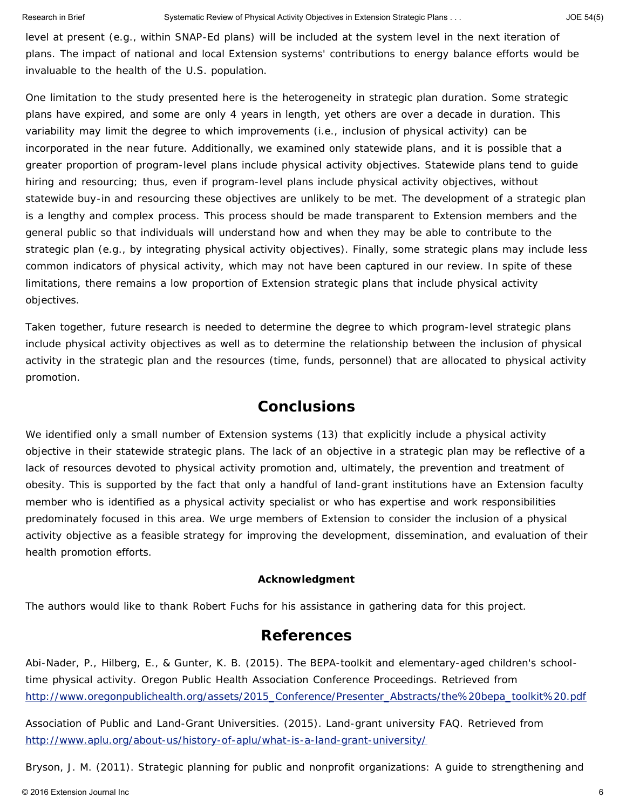level at present (e.g., within SNAP-Ed plans) will be included at the system level in the next iteration of plans. The impact of national and local Extension systems' contributions to energy balance efforts would be invaluable to the health of the U.S. population.

One limitation to the study presented here is the heterogeneity in strategic plan duration. Some strategic plans have expired, and some are only 4 years in length, yet others are over a decade in duration. This variability may limit the degree to which improvements (i.e., inclusion of physical activity) can be incorporated in the near future. Additionally, we examined only statewide plans, and it is possible that a greater proportion of program-level plans include physical activity objectives. Statewide plans tend to guide hiring and resourcing; thus, even if program-level plans include physical activity objectives, without statewide buy-in and resourcing these objectives are unlikely to be met. The development of a strategic plan is a lengthy and complex process. This process should be made transparent to Extension members and the general public so that individuals will understand how and when they may be able to contribute to the strategic plan (e.g., by integrating physical activity objectives). Finally, some strategic plans may include less common indicators of physical activity, which may not have been captured in our review. In spite of these limitations, there remains a low proportion of Extension strategic plans that include physical activity objectives.

Taken together, future research is needed to determine the degree to which program-level strategic plans include physical activity objectives as well as to determine the relationship between the inclusion of physical activity in the strategic plan and the resources (time, funds, personnel) that are allocated to physical activity promotion.

## **Conclusions**

We identified only a small number of Extension systems (13) that explicitly include a physical activity objective in their statewide strategic plans. The lack of an objective in a strategic plan may be reflective of a lack of resources devoted to physical activity promotion and, ultimately, the prevention and treatment of obesity. This is supported by the fact that only a handful of land-grant institutions have an Extension faculty member who is identified as a physical activity specialist or who has expertise and work responsibilities predominately focused in this area. We urge members of Extension to consider the inclusion of a physical activity objective as a feasible strategy for improving the development, dissemination, and evaluation of their health promotion efforts.

#### **Acknowledgment**

The authors would like to thank Robert Fuchs for his assistance in gathering data for this project.

### **References**

Abi-Nader, P., Hilberg, E., & Gunter, K. B. (2015). The BEPA-toolkit and elementary-aged children's schooltime physical activity. *Oregon Public Health Association Conference Proceedings.* Retrieved from [http://www.oregonpublichealth.org/assets/2015\\_Conference/Presenter\\_Abstracts/the%20bepa\\_toolkit%20.pdf](http://www.oregonpublichealth.org/assets/2015_Conference/Presenter_Abstracts/the%20bepa_toolkit%20.pdf)

Association of Public and Land-Grant Universities. (2015). Land-grant university FAQ. Retrieved from <http://www.aplu.org/about-us/history-of-aplu/what-is-a-land-grant-university/>

Bryson, J. M. (2011). *Strategic planning for public and nonprofit organizations: A guide to strengthening and*